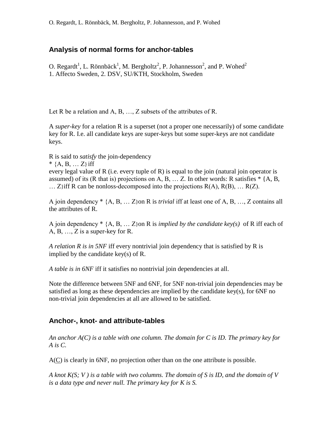## **Analysis of normal forms for anchor-tables**

O. Regardt<sup>1</sup>, L. Rönnbäck<sup>1</sup>, M. Bergholtz<sup>2</sup>, P. Johannesson<sup>2</sup>, and P. Wohed<sup>2</sup> 1. Affecto Sweden, 2. DSV, SU/KTH, Stockholm, Sweden

Let R be a relation and A, B, ..., Z subsets of the attributes of R.

A *super-key* for a relation R is a superset (not a proper one necessarily) of some candidate key for R. I.e. all candidate keys are super-keys but some super-keys are not candidate keys.

R is said to *satisfy* the join-dependency

\*  ${A, B, \ldots Z}$  iff

every legal value of R (i.e. every tuple of R) is equal to the join (natural join operator is assumed) of its (R that is) projections on A, B,  $\dots$  Z. In other words: R satisfies  $*$  {A, B, ...  $Z$ }iff R can be nonloss-decomposed into the projections  $R(A)$ ,  $R(B)$ , ...  $R(Z)$ .

A join dependency \* {A, B, … Z}on R is *trivial* iff at least one of A, B, …, Z contains all the attributes of R.

A join dependency \* {A, B, … Z}on R is *implied by the candidate key(s)* of R iff each of A, B, …, Z is a super-key for R.

*A relation R is in 5NF* iff every nontrivial join dependency that is satisfied by R is implied by the candidate key(s) of R.

*A table is in 6NF* iff it satisfies no nontrivial join dependencies at all.

Note the difference between 5NF and 6NF, for 5NF non-trivial join dependencies may be satisfied as long as these dependencies are implied by the candidate key(s), for 6NF no non-trivial join dependencies at all are allowed to be satisfied.

## **Anchor-, knot- and attribute-tables**

*An anchor A(C) is a table with one column. The domain for C is ID. The primary key for A is C.*

A(C) is clearly in 6NF, no projection other than on the one attribute is possible.

*A knot K(S; V ) is a table with two columns. The domain of S is ID, and the domain of V is a data type and never null. The primary key for K is S.*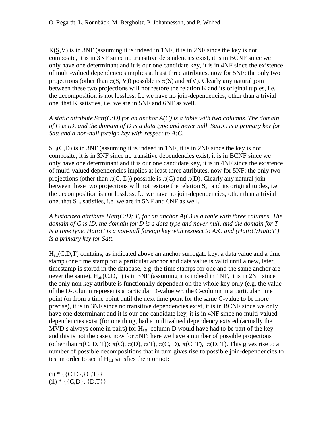$K(S, V)$  is in 3NF (assuming it is indeed in 1NF, it is in 2NF since the key is not composite, it is in 3NF since no transitive dependencies exist, it is in BCNF since we only have one determinant and it is our one candidate key, it is in 4NF since the existence of multi-valued dependencies implies at least three attributes, now for 5NF: the only two projections (other than  $\pi(S, V)$ ) possible is  $\pi(S)$  and  $\pi(V)$ . Clearly any natural join between these two projections will not restore the relation K and its original tuples, i.e. the decomposition is not lossless. I.e we have no join-dependencies, other than a trivial one, that K satisfies, i.e. we are in 5NF and 6NF as well.

*A static attribute Satt(C;D) for an anchor A(C) is a table with two columns. The domain of C is ID, and the domain of D is a data type and never null. Satt:C is a primary key for Satt and a non-null foreign key with respect to A:C.*

 $S<sub>att</sub>(C,D)$  is in 3NF (assuming it is indeed in 1NF, it is in 2NF since the key is not composite, it is in 3NF since no transitive dependencies exist, it is in BCNF since we only have one determinant and it is our one candidate key, it is in 4NF since the existence of multi-valued dependencies implies at least three attributes, now for 5NF: the only two projections (other than  $\pi(C, D)$ ) possible is  $\pi(C)$  and  $\pi(D)$ . Clearly any natural join between these two projections will not restore the relation  $S_{\text{att}}$  and its original tuples, i.e. the decomposition is not lossless. I.e we have no join-dependencies, other than a trivial one, that S<sub>att</sub> satisfies, i.e. we are in 5NF and 6NF as well.

*A historized attribute Hatt(C;D; T) for an anchor A(C) is a table with three columns. The domain of C is ID, the domain for D is a data type and never null, and the domain for T is a time type. Hatt:C is a non-null foreign key with respect to A:C and (Hatt:C;Hatt:T ) is a primary key for Satt.*

 $H_{\text{att}}(C,D,T)$  contains, as indicated above an anchor surrogate key, a data value and a time stamp (one time stamp for a particular anchor and data value is valid until a new, later, timestamp is stored in the database, e.g the time stamps for one and the same anchor are never the same).  $H_{att}(C, D, T)$  is in 3NF (assuming it is indeed in 1NF, it is in 2NF since the only non key attribute is functionally dependent on the whole key only (e.g. the value of the D-column represents a particular D-value wrt the C-column in a particular time point (or from a time point until the next time point for the same C-value to be more precise), it is in 3NF since no transitive dependencies exist, it is in BCNF since we only have one determinant and it is our one candidate key, it is in 4NF since no multi-valued dependencies exist (for one thing, had a multivalued dependency existed (actually the MVD:s always come in pairs) for  $H_{att}$  column D would have had to be part of the key and this is not the case), now for 5NF: here we have a number of possible projections (other than  $\pi(C, D, T)$ ):  $\pi(C)$ ,  $\pi(D)$ ,  $\pi(T)$ ,  $\pi(C, D)$ ,  $\pi(C, T)$ ,  $\pi(D, T)$ . This gives rise to a number of possible decompositions that in turn gives rise to possible join-dependencies to test in order to see if  $H_{att}$  satisfies them or not:

 $(i) * \{\{C,D\},\{C,T\}\}\$  $(ii) * \{ {C,D}, {D,T} \}$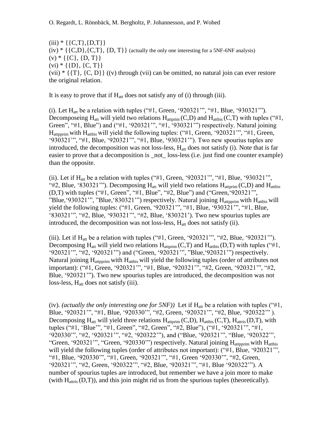$(iii) * \{ {C,T} \}, {D,T} \}$  $(iv) * \{ {C, D}, {C, T}, {D, T} \}$  (actually the only one interesting for a 5NF-6NF analysis)  $(v) * \{\{C\}, \{D, T\}\}\$  $(vi) * \{\{D\}, \{C, T\}\}\$  $(vii) * {T, {C, D}} (v)$  through (vii) can be omitted, no natural join can ever restore the original relation.

It is easy to prove that if  $H_{\text{att}}$  does not satisfy any of (i) through (iii).

(i). Let  $H_{att}$  be a relation with tuples ("#1, Green, '920321'", "#1, Blue, '930321'"). Decomposeing  $H_{att}$  will yield two relations  $H_{attprim}(C,D)$  and  $H_{attbis}(C,T)$  with tuples ("#1, Green", "#1, Blue") and ("#1, '920321'", "#1, '930321'") respectively. Natural joining  $H_{\text{attnorim}}$  with  $H_{\text{atthis}}$  will yield the following tuples: ("#1, Green, '920321"", "#1, Green, "930321"", "#1, Blue, "920321"", "#1, Blue, "930321""). Two new spourius tuples are introduced, the decomposition was not loss-less, H<sub>att</sub> does not satisfy (i). Note that is far easier to prove that a decomposition is \_not\_ loss-less (i.e. just find one counter example) than the opposite.

(ii). Let if  $H_{att}$  be a relation with tuples ("#1, Green, '920321'", "#1, Blue, '930321'", "#2, Blue, '830321'"). Decomposing  $H_{\text{att}}$  will yield two relations  $H_{\text{attorim}}(C,D)$  and  $H_{\text{attbis}}$ (D,T) with tuples ("#1, Green", "#1, Blue", "#2, Blue") and ("Green,"920321"", "Blue, '930321"", "Blue, '830321"") respectively. Natural joining  $H_{\text{attop}}$  with  $H_{\text{attbs}}$  will yield the following tuples: ("#1, Green, "920321"", "#1, Blue, "930321"", "#1, Blue, "830321"", "#2, Blue, "930321"", "#2, Blue, "830321"). Two new spourius tuples are introduced, the decomposition was not loss-less,  $H_{\text{att}}$  does not satisfy (ii).

(iii). Let if  $H_{\text{att}}$  be a relation with tuples ("#1, Green, '920321'", "#2, Blue, '920321'"). Decomposing  $H_{att}$  will yield two relations  $H_{attprim}(C,T)$  and  $H_{attbis}(D,T)$  with tuples ("#1, "920321"", "#2, '920321'") and ("Green, '920321'", "Blue, '920321'") respectively. Natural joining  $H_{\text{attonrim}}$  with  $H_{\text{atthis}}$  will yield the following tuples (order of attributes not important): ("#1, Green, "920321"", "#1, Blue, "920321"", "#2, Green, "920321"", "#2, Blue, "920321""). Two new spourius tuples are introduced, the decomposition was not loss-less, H<sub>att</sub> does not satisfy (iii).

(iv). *(actually the only interesting one for 5NF)*) Let if  $H_{\text{att}}$  be a relation with tuples ("#1, Blue, "920321"", "#1, Blue, "920330"", "#2, Green, "920321"", "#2, Blue, "920322"" ). Decomposing  $H_{att}$  will yield three relations  $H_{attorim}(C,D)$ ,  $H_{attbis}(C,T)$ ,  $H_{attris}(D,T)$ , with tuples ("#1, "Blue"", "#1, Green", "#2, Green", "#2, Blue"), ("#1, "920321"", "#1, "920330"", "#2, "920321"", "#2, "920322""), and ("Blue, "920321"", "Blue, "920322"", "Green, '920321'", "Green, '920330'") respectively. Natural joining H<sub>attpprim</sub> with H<sub>attbis</sub> will yield the following tuples (order of attributes not important): ("#1, Blue, '920321"', "#1, Blue, "920330"", "#1, Green, "920321"", "#1, Green "920330"", "#2, Green, "920321"", "#2, Green, "920322"", "#2, Blue, "920321"", "#1, Blue "920322""). A number of spourius tuples are introduced, but remember we have a join more to make (with  $H_{\text{attris}}(D,T)$ ), and this join might rid us from the spurious tuples (theoretically).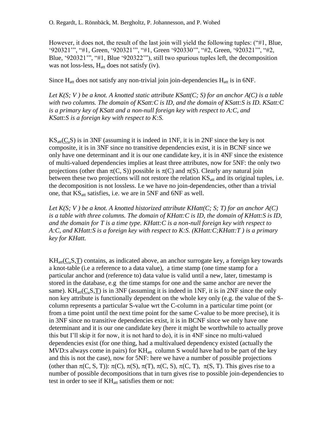However, it does not, the result of the last join will yield the following tuples: ("#1, Blue, "920321"", "#1, Green, "920321"", "#1, Green "920330"", "#2, Green, "920321"", "#2, Blue, "920321"", "#1, Blue "920322""), still two spurious tuples left, the decomposition was not loss-less, H<sub>att</sub> does not satisfy (iv).

Since  $H_{\text{att}}$  does not satisfy any non-trivial join join-dependencies  $H_{\text{att}}$  is in 6NF.

*Let K(S; V ) be a knot. A knotted static attribute KSatt(C; S) for an anchor A(C) is a table with two columns. The domain of KSatt:C is ID, and the domain of KSatt:S is ID. KSatt:C is a primary key of KSatt and a non-null foreign key with respect to A:C, and KSatt:S is a foreign key with respect to K:S.*

 $\text{KS}_{\text{att}}(C, S)$  is in 3NF (assuming it is indeed in 1NF, it is in 2NF since the key is not composite, it is in 3NF since no transitive dependencies exist, it is in BCNF since we only have one determinant and it is our one candidate key, it is in 4NF since the existence of multi-valued dependencies implies at least three attributes, now for 5NF: the only two projections (other than  $\pi(C, S)$ ) possible is  $\pi(C)$  and  $\pi(S)$ . Clearly any natural join between these two projections will not restore the relation  $KS_{att}$  and its original tuples, i.e. the decomposition is not lossless. I.e we have no join-dependencies, other than a trivial one, that  $KS_{att}$  satisfies, i.e. we are in 5NF and 6NF as well.

*Let K(S; V ) be a knot. A knotted historized attribute KHatt(C; S; T) for an anchor A(C) is a table with three columns. The domain of KHatt:C is ID, the domain of KHatt:S is ID, and the domain for T is a time type. KHatt:C is a non-null foreign key with respect to A:C, and KHatt:S is a foreign key with respect to K:S. (KHatt:C;KHatt:T ) is a primary key for KHatt.*

 $KH_{att}(C,S,T)$  contains, as indicated above, an anchor surrogate key, a foreign key towards a knot-table (i.e a reference to a data value), a time stamp (one time stamp for a particular anchor and (reference to) data value is valid until a new, later, timestamp is stored in the database, e.g the time stamps for one and the same anchor are never the same). KH<sub>att</sub>(C,S,T) is in 3NF (assuming it is indeed in 1NF, it is in 2NF since the only non key attribute is functionally dependent on the whole key only (e.g. the value of the Scolumn represents a particular S-value wrt the C-column in a particular time point (or from a time point until the next time point for the same C-value to be more precise), it is in 3NF since no transitive dependencies exist, it is in BCNF since we only have one determinant and it is our one candidate key (here it might be worthwhile to actually prove this but I"ll skip it for now, it is not hard to do), it is in 4NF since no multi-valued dependencies exist (for one thing, had a multivalued dependency existed (actually the MVD:s always come in pairs) for  $KH_{att}$  column S would have had to be part of the key and this is not the case), now for 5NF: here we have a number of possible projections (other than  $\pi(C, S, T)$ ):  $\pi(C)$ ,  $\pi(S)$ ,  $\pi(T)$ ,  $\pi(C, S)$ ,  $\pi(C, T)$ ,  $\pi(S, T)$ . This gives rise to a number of possible decompositions that in turn gives rise to possible join-dependencies to test in order to see if KH<sub>att</sub> satisfies them or not: